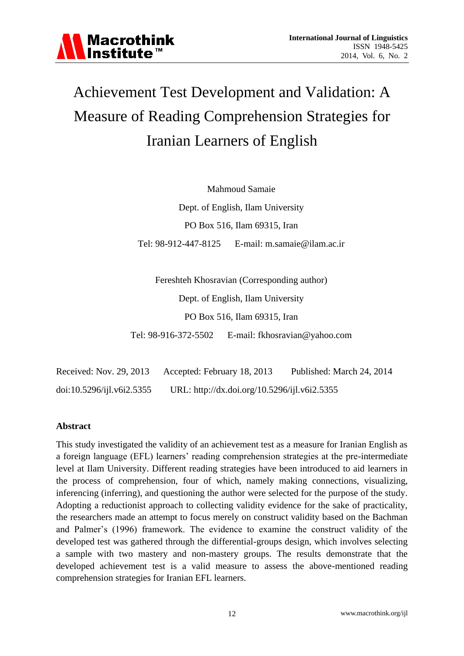

# Achievement Test Development and Validation: A Measure of Reading Comprehension Strategies for Iranian Learners of English

Mahmoud Samaie Dept. of English, Ilam University PO Box 516, Ilam 69315, Iran Tel: 98-912-447-8125 E-mail: [m.samaie@ilam.ac.ir](mailto:m.samaie@ilam.ac.ir)

Fereshteh Khosravian (Corresponding author) Dept. of English, Ilam University PO Box 516, Ilam 69315, Iran Tel: 98-916-372-5502 E-mail: [fkhosravian@yahoo.com](mailto:fkhosravian@yahoo.com)

Received: Nov. 29, 2013 Accepted: February 18, 2013 Published: March 24, 2014 doi:10.5296/ijl.v6i2.5355 URL: http://dx.doi.org/10.5296/ijl.v6i2.5355

# **Abstract**

This study investigated the validity of an achievement test as a measure for Iranian English as a foreign language (EFL) learners' reading comprehension strategies at the pre-intermediate level at Ilam University. Different reading strategies have been introduced to aid learners in the process of comprehension, four of which, namely making connections, visualizing, inferencing (inferring), and questioning the author were selected for the purpose of the study. Adopting a reductionist approach to collecting validity evidence for the sake of practicality, the researchers made an attempt to focus merely on construct validity based on the Bachman and Palmer's (1996) framework. The evidence to examine the construct validity of the developed test was gathered through the differential-groups design, which involves selecting a sample with two mastery and non-mastery groups. The results demonstrate that the developed achievement test is a valid measure to assess the above-mentioned reading comprehension strategies for Iranian EFL learners.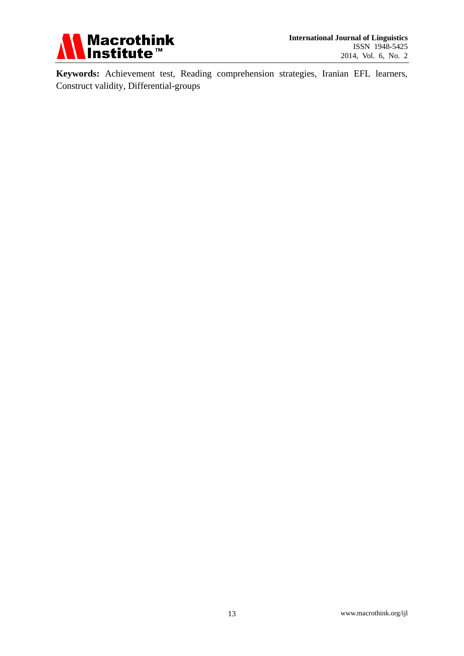

**Keywords:** Achievement test, Reading comprehension strategies, Iranian EFL learners, Construct validity, Differential-groups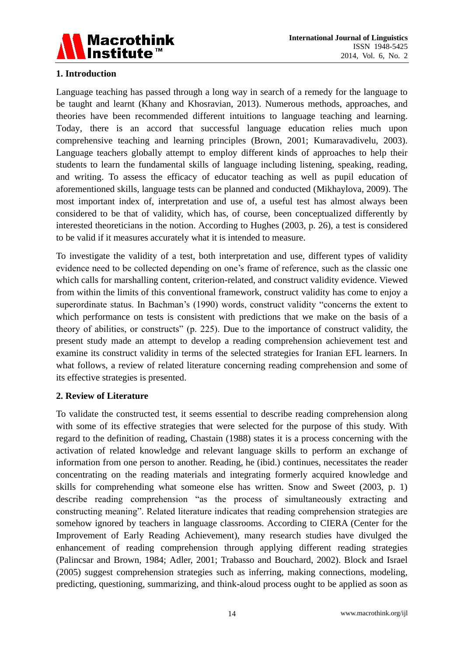

# **1. Introduction**

Language teaching has passed through a long way in search of a remedy for the language to be taught and learnt (Khany and Khosravian, 2013). Numerous methods, approaches, and theories have been recommended different intuitions to language teaching and learning. Today, there is an accord that successful language education relies much upon comprehensive teaching and learning principles (Brown, 2001; Kumaravadivelu, 2003). Language teachers globally attempt to employ different kinds of approaches to help their students to learn the fundamental skills of language including listening, speaking, reading, and writing. To assess the efficacy of educator teaching as well as pupil education of aforementioned skills, language tests can be planned and conducted (Mikhaylova, 2009). The most important index of, interpretation and use of, a useful test has almost always been considered to be that of validity, which has, of course, been conceptualized differently by interested theoreticians in the notion. According to Hughes (2003, p. 26), a test is considered to be valid if it measures accurately what it is intended to measure.

To investigate the validity of a test, both interpretation and use, different types of validity evidence need to be collected depending on one's frame of reference, such as the classic one which calls for marshalling content, criterion-related, and construct validity evidence. Viewed from within the limits of this conventional framework, construct validity has come to enjoy a superordinate status. In Bachman's (1990) words, construct validity "concerns the extent to which performance on tests is consistent with predictions that we make on the basis of a theory of abilities, or constructs" (p. 225). Due to the importance of construct validity, the present study made an attempt to develop a reading comprehension achievement test and examine its construct validity in terms of the selected strategies for Iranian EFL learners. In what follows, a review of related literature concerning reading comprehension and some of its effective strategies is presented.

# **2. Review of Literature**

To validate the constructed test, it seems essential to describe reading comprehension along with some of its effective strategies that were selected for the purpose of this study. With regard to the definition of reading, Chastain (1988) states it is a process concerning with the activation of related knowledge and relevant language skills to perform an exchange of information from one person to another. Reading, he (ibid.) continues, necessitates the reader concentrating on the reading materials and integrating formerly acquired knowledge and skills for comprehending what someone else has written. Snow and Sweet (2003, p. 1) describe reading comprehension "as the process of simultaneously extracting and constructing meaning". Related literature indicates that reading comprehension strategies are somehow ignored by teachers in language classrooms. According to CIERA (Center for the Improvement of Early Reading Achievement), many research studies have divulged the enhancement of reading comprehension through applying different reading strategies (Palincsar and Brown, 1984; Adler, 2001; Trabasso and Bouchard, 2002). Block and Israel (2005) suggest comprehension strategies such as inferring, making connections, modeling, predicting, questioning, summarizing, and think-aloud process ought to be applied as soon as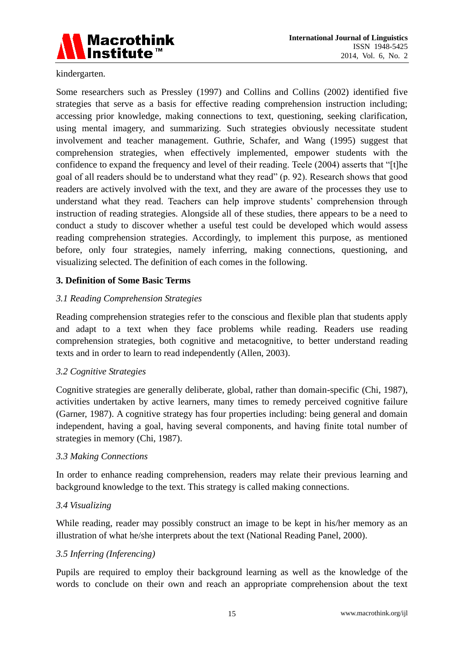

kindergarten.

Some researchers such as Pressley (1997) and Collins and Collins (2002) identified five strategies that serve as a basis for effective reading comprehension instruction including; accessing prior knowledge, making connections to text, questioning, seeking clarification, using mental imagery, and summarizing. Such strategies obviously necessitate student involvement and teacher management. Guthrie, Schafer, and Wang (1995) suggest that comprehension strategies, when effectively implemented, empower students with the confidence to expand the frequency and level of their reading. Teele (2004) asserts that "[t]he goal of all readers should be to understand what they read" (p. 92). Research shows that good readers are actively involved with the text, and they are aware of the processes they use to understand what they read. Teachers can help improve students' comprehension through instruction of reading strategies. Alongside all of these studies, there appears to be a need to conduct a study to discover whether a useful test could be developed which would assess reading comprehension strategies. Accordingly, to implement this purpose, as mentioned before, only four strategies, namely inferring, making connections, questioning, and visualizing selected. The definition of each comes in the following.

# **3. Definition of Some Basic Terms**

# *3.1 Reading Comprehension Strategies*

Reading comprehension strategies refer to the conscious and flexible plan that students apply and adapt to a text when they face problems while reading. Readers use reading comprehension strategies, both cognitive and metacognitive, to better understand reading texts and in order to learn to read independently (Allen, 2003).

# *3.2 Cognitive Strategies*

Cognitive strategies are generally deliberate, global, rather than domain-specific (Chi, 1987), activities undertaken by active learners, many times to remedy perceived cognitive failure (Garner, 1987). A cognitive strategy has four properties including: being general and domain independent, having a goal, having several components, and having finite total number of strategies in memory (Chi, 1987).

# *3.3 Making Connections*

In order to enhance reading comprehension, readers may relate their previous learning and background knowledge to the text. This strategy is called making connections.

#### *3.4 Visualizing*

While reading, reader may possibly construct an image to be kept in his/her memory as an illustration of what he/she interprets about the text (National Reading Panel, 2000).

#### *3.5 Inferring (Inferencing)*

Pupils are required to employ their background learning as well as the knowledge of the words to conclude on their own and reach an appropriate comprehension about the text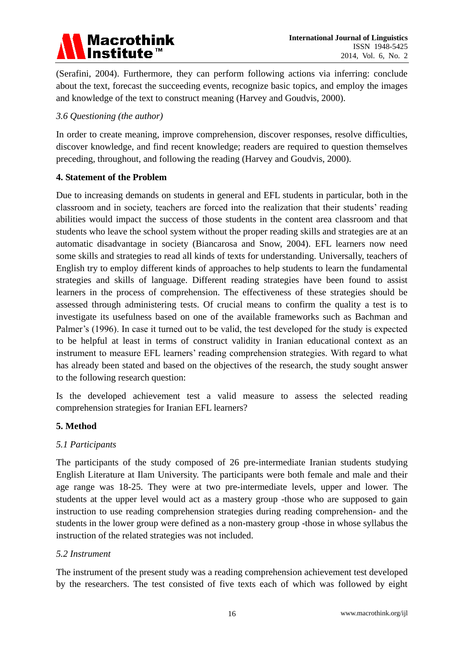

(Serafini, 2004). Furthermore, they can perform following actions via inferring: conclude about the text, forecast the succeeding events, recognize basic topics, and employ the images and knowledge of the text to construct meaning (Harvey and Goudvis, 2000).

## *3.6 Questioning (the author)*

In order to create meaning, improve comprehension, discover responses, resolve difficulties, discover knowledge, and find recent knowledge; readers are required to question themselves preceding, throughout, and following the reading (Harvey and Goudvis, 2000).

## **4. Statement of the Problem**

Due to increasing demands on students in general and EFL students in particular, both in the classroom and in society, teachers are forced into the realization that their students' reading abilities would impact the success of those students in the content area classroom and that students who leave the school system without the proper reading skills and strategies are at an automatic disadvantage in society (Biancarosa and Snow, 2004). EFL learners now need some skills and strategies to read all kinds of texts for understanding. Universally, teachers of English try to employ different kinds of approaches to help students to learn the fundamental strategies and skills of language. Different reading strategies have been found to assist learners in the process of comprehension. The effectiveness of these strategies should be assessed through administering tests. Of crucial means to confirm the quality a test is to investigate its usefulness based on one of the available frameworks such as Bachman and Palmer's (1996). In case it turned out to be valid, the test developed for the study is expected to be helpful at least in terms of construct validity in Iranian educational context as an instrument to measure EFL learners' reading comprehension strategies. With regard to what has already been stated and based on the objectives of the research, the study sought answer to the following research question:

Is the developed achievement test a valid measure to assess the selected reading comprehension strategies for Iranian EFL learners?

# **5. Method**

# *5.1 Participants*

The participants of the study composed of 26 pre-intermediate Iranian students studying English Literature at Ilam University. The participants were both female and male and their age range was 18-25. They were at two pre-intermediate levels, upper and lower. The students at the upper level would act as a mastery group -those who are supposed to gain instruction to use reading comprehension strategies during reading comprehension- and the students in the lower group were defined as a non-mastery group -those in whose syllabus the instruction of the related strategies was not included.

#### *5.2 Instrument*

The instrument of the present study was a reading comprehension achievement test developed by the researchers. The test consisted of five texts each of which was followed by eight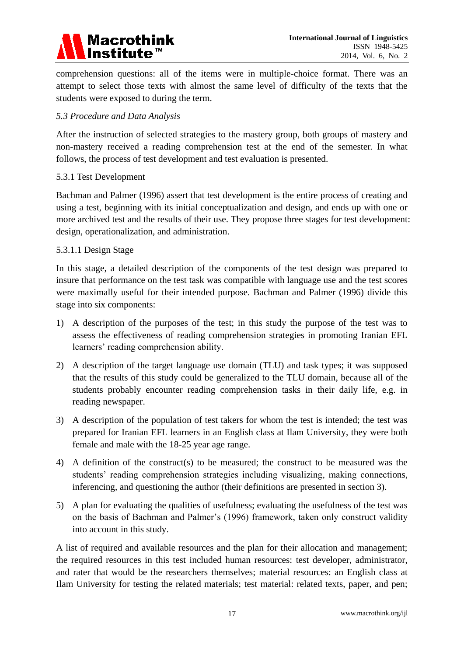

comprehension questions: all of the items were in multiple-choice format. There was an attempt to select those texts with almost the same level of difficulty of the texts that the students were exposed to during the term.

## *5.3 Procedure and Data Analysis*

After the instruction of selected strategies to the mastery group, both groups of mastery and non-mastery received a reading comprehension test at the end of the semester. In what follows, the process of test development and test evaluation is presented.

#### 5.3.1 Test Development

Bachman and Palmer (1996) assert that test development is the entire process of creating and using a test, beginning with its initial conceptualization and design, and ends up with one or more archived test and the results of their use. They propose three stages for test development: design, operationalization, and administration.

## 5.3.1.1 Design Stage

In this stage, a detailed description of the components of the test design was prepared to insure that performance on the test task was compatible with language use and the test scores were maximally useful for their intended purpose. Bachman and Palmer (1996) divide this stage into six components:

- 1) A description of the purposes of the test; in this study the purpose of the test was to assess the effectiveness of reading comprehension strategies in promoting Iranian EFL learners' reading comprehension ability.
- 2) A description of the target language use domain (TLU) and task types; it was supposed that the results of this study could be generalized to the TLU domain, because all of the students probably encounter reading comprehension tasks in their daily life, e.g. in reading newspaper.
- 3) A description of the population of test takers for whom the test is intended; the test was prepared for Iranian EFL learners in an English class at Ilam University, they were both female and male with the 18-25 year age range.
- 4) A definition of the construct(s) to be measured; the construct to be measured was the students' reading comprehension strategies including visualizing, making connections, inferencing, and questioning the author (their definitions are presented in section 3).
- 5) A plan for evaluating the qualities of usefulness; evaluating the usefulness of the test was on the basis of Bachman and Palmer's (1996) framework, taken only construct validity into account in this study.

A list of required and available resources and the plan for their allocation and management; the required resources in this test included human resources: test developer, administrator, and rater that would be the researchers themselves; material resources: an English class at Ilam University for testing the related materials; test material: related texts, paper, and pen;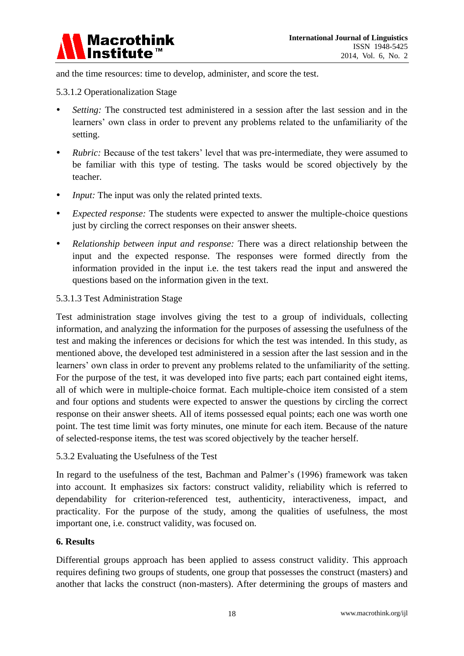

and the time resources: time to develop, administer, and score the test.

## 5.3.1.2 Operationalization Stage

- *Setting:* The constructed test administered in a session after the last session and in the learners' own class in order to prevent any problems related to the unfamiliarity of the setting.
- *Rubric:* Because of the test takers' level that was pre-intermediate, they were assumed to be familiar with this type of testing. The tasks would be scored objectively by the teacher.
- *Input:* The input was only the related printed texts.
- *Expected response:* The students were expected to answer the multiple-choice questions just by circling the correct responses on their answer sheets.
- *Relationship between input and response:* There was a direct relationship between the input and the expected response. The responses were formed directly from the information provided in the input i.e. the test takers read the input and answered the questions based on the information given in the text.

## 5.3.1.3 Test Administration Stage

Test administration stage involves giving the test to a group of individuals, collecting information, and analyzing the information for the purposes of assessing the usefulness of the test and making the inferences or decisions for which the test was intended. In this study, as mentioned above, the developed test administered in a session after the last session and in the learners' own class in order to prevent any problems related to the unfamiliarity of the setting. For the purpose of the test, it was developed into five parts; each part contained eight items, all of which were in multiple-choice format. Each multiple-choice item consisted of a stem and four options and students were expected to answer the questions by circling the correct response on their answer sheets. All of items possessed equal points; each one was worth one point. The test time limit was forty minutes, one minute for each item. Because of the nature of selected-response items, the test was scored objectively by the teacher herself.

#### 5.3.2 Evaluating the Usefulness of the Test

In regard to the usefulness of the test, Bachman and Palmer's (1996) framework was taken into account. It emphasizes six factors: construct validity, reliability which is referred to dependability for criterion-referenced test, authenticity, interactiveness, impact, and practicality. For the purpose of the study, among the qualities of usefulness, the most important one, i.e. construct validity, was focused on.

#### **6. Results**

Differential groups approach has been applied to assess construct validity. This approach requires defining two groups of students, one group that possesses the construct (masters) and another that lacks the construct (non-masters). After determining the groups of masters and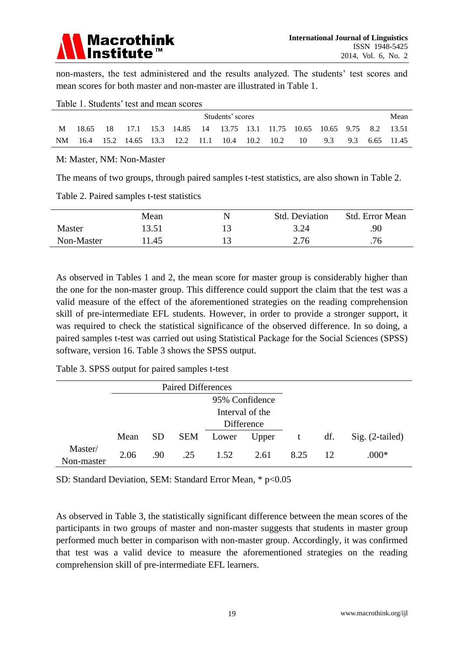

non-masters, the test administered and the results analyzed. The students' test scores and mean scores for both master and non-master are illustrated in Table 1.

|    | Students' scores |    |  |  |                           |  |                                                                |      |      |    | Mean |     |  |            |
|----|------------------|----|--|--|---------------------------|--|----------------------------------------------------------------|------|------|----|------|-----|--|------------|
|    | 18.65            | 18 |  |  |                           |  | 17.1 15.3 14.85 14 13.75 13.1 11.75 10.65 10.65 9.75 8.2 13.51 |      |      |    |      |     |  |            |
| NM | 16.4             |    |  |  | 15.2 14.65 13.3 12.2 11.1 |  | -- 10.4                                                        | 10.2 | 10.2 | 10 | 9.3  | 9.3 |  | 6.65 11.45 |

#### Table 1. Students' test and mean scores

#### M: Master, NM: Non-Master

The means of two groups, through paired samples t-test statistics, are also shown in Table 2.

Table 2. Paired samples t-test statistics

|            | Mean  | Std. Deviation | <b>Std.</b> Error Mean |
|------------|-------|----------------|------------------------|
| Master     | 13.51 | 3.24           | .90                    |
| Non-Master | 1.45  | 2.76           | .76                    |

As observed in Tables 1 and 2, the mean score for master group is considerably higher than the one for the non-master group. This difference could support the claim that the test was a valid measure of the effect of the aforementioned strategies on the reading comprehension skill of pre-intermediate EFL students. However, in order to provide a stronger support, it was required to check the statistical significance of the observed difference. In so doing, a paired samples t-test was carried out using Statistical Package for the Social Sciences (SPSS) software, version 16. Table 3 shows the SPSS output.

Table 3. SPSS output for paired samples t-test

|                       | <b>Paired Differences</b> |            |     |       |       |      |     |                   |
|-----------------------|---------------------------|------------|-----|-------|-------|------|-----|-------------------|
|                       | 95% Confidence            |            |     |       |       |      |     |                   |
|                       | Interval of the           |            |     |       |       |      |     |                   |
|                       |                           | Difference |     |       |       |      |     |                   |
|                       | Mean                      | SD.        | SEM | Lower | Upper | t    | df. | $Sig. (2-tailed)$ |
| Master/<br>Non-master | 2.06                      | .90        | .25 | 1.52  | 2.61  | 8.25 | 12  | $.000*$           |

SD: Standard Deviation, SEM: Standard Error Mean, \* p<0.05

As observed in Table 3, the statistically significant difference between the mean scores of the participants in two groups of master and non-master suggests that students in master group performed much better in comparison with non-master group. Accordingly, it was confirmed that test was a valid device to measure the aforementioned strategies on the reading comprehension skill of pre-intermediate EFL learners.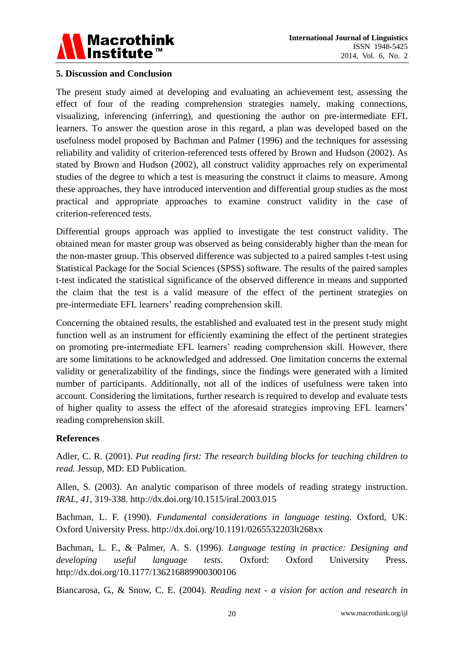

## **5. Discussion and Conclusion**

The present study aimed at developing and evaluating an achievement test, assessing the effect of four of the reading comprehension strategies namely, making connections, visualizing, inferencing (inferring), and questioning the author on pre-intermediate EFL learners. To answer the question arose in this regard, a plan was developed based on the usefulness model proposed by Bachman and Palmer (1996) and the techniques for assessing reliability and validity of criterion-referenced tests offered by Brown and Hudson (2002). As stated by Brown and Hudson (2002), all construct validity approaches rely on experimental studies of the degree to which a test is measuring the construct it claims to measure. Among these approaches, they have introduced intervention and differential group studies as the most practical and appropriate approaches to examine construct validity in the case of criterion-referenced tests.

Differential groups approach was applied to investigate the test construct validity. The obtained mean for master group was observed as being considerably higher than the mean for the non-master group. This observed difference was subjected to a paired samples t-test using Statistical Package for the Social Sciences (SPSS) software. The results of the paired samples t-test indicated the statistical significance of the observed difference in means and supported the claim that the test is a valid measure of the effect of the pertinent strategies on pre-intermediate EFL learners' reading comprehension skill.

Concerning the obtained results, the established and evaluated test in the present study might function well as an instrument for efficiently examining the effect of the pertinent strategies on promoting pre-intermediate EFL learners' reading comprehension skill. However, there are some limitations to be acknowledged and addressed. One limitation concerns the external validity or generalizability of the findings, since the findings were generated with a limited number of participants. Additionally, not all of the indices of usefulness were taken into account. Considering the limitations, further research is required to develop and evaluate tests of higher quality to assess the effect of the aforesaid strategies improving EFL learners' reading comprehension skill.

#### **References**

Adler, C. R. (2001). *Put reading first: The research building blocks for teaching children to read.* Jessup, MD: ED Publication.

Allen, S. (2003). An analytic comparison of three models of reading strategy instruction. *IRAL*, *41,* 319-338. http://dx.doi.org/10.1515/iral.2003.015

Bachman, L. F. (1990). *Fundamental considerations in language testing.* Oxford, UK: Oxford University Press. http://dx.doi.org/10.1191/0265532203lt268xx

Bachman, L. F., & Palmer, A. S. (1996). *Language testing in practice: Designing and developing useful language tests.* Oxford: Oxford University Press. http://dx.doi.org/10.1177/136216889900300106

Biancarosa, G., & Snow, C. E. (2004). *Reading next - a vision for action and research in*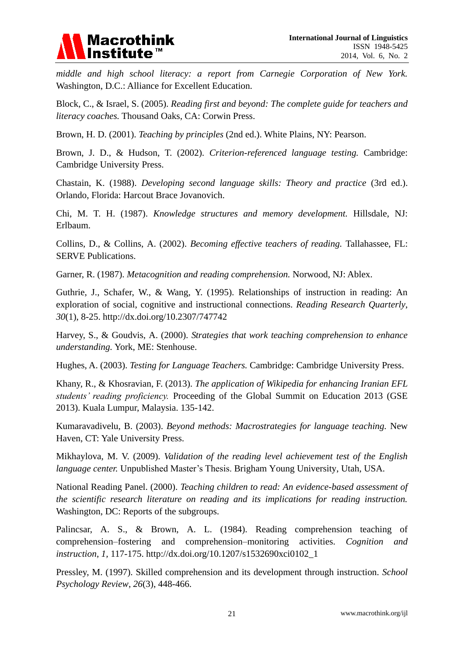

*middle and high school literacy: a report from Carnegie Corporation of New York.* Washington, D.C.: Alliance for Excellent Education.

Block, C., & Israel, S. (2005). *Reading first and beyond: The complete guide for teachers and literacy coaches.* Thousand Oaks, CA: Corwin Press.

Brown, H. D. (2001). *Teaching by principles* (2nd ed.). White Plains, NY: Pearson.

Brown, J. D., & Hudson, T. (2002). *Criterion-referenced language testing.* Cambridge: Cambridge University Press.

Chastain, K. (1988). *Developing second language skills: Theory and practice* (3rd ed.). Orlando, Florida: Harcout Brace Jovanovich.

Chi, M. T. H. (1987). *Knowledge structures and memory development.* Hillsdale, NJ: Erlbaum.

Collins, D., & Collins, A. (2002). *Becoming effective teachers of reading.* Tallahassee, FL: SERVE Publications.

Garner, R. (1987). *Metacognition and reading comprehension.* Norwood, NJ: Ablex.

Guthrie, J., Schafer, W., & Wang, Y. (1995). Relationships of instruction in reading: An exploration of social, cognitive and instructional connections. *Reading Research Quarterly*, *30*(1), 8-25. http://dx.doi.org/10.2307/747742

Harvey, S., & Goudvis, A. (2000). *Strategies that work teaching comprehension to enhance understanding.* York, ME: Stenhouse.

Hughes, A. (2003). *Testing for Language Teachers.* Cambridge: Cambridge University Press.

Khany, R., & Khosravian, F. (2013). *The application of Wikipedia for enhancing Iranian EFL students' reading proficiency.* Proceeding of the Global Summit on Education 2013 (GSE 2013). Kuala Lumpur, Malaysia. 135-142.

Kumaravadivelu, B. (2003). *Beyond methods: Macrostrategies for language teaching.* New Haven, CT: Yale University Press.

Mikhaylova, M. V. (2009). *Validation of the reading level achievement test of the English language center.* Unpublished Master's Thesis. Brigham Young University, Utah, USA.

National Reading Panel. (2000). *Teaching children to read: An evidence-based assessment of the scientific research literature on reading and its implications for reading instruction.* Washington, DC: Reports of the subgroups.

Palincsar, A. S., & Brown, A. L. (1984). Reading comprehension teaching of comprehension–fostering and comprehension–monitoring activities. *Cognition and instruction*, *1,* 117-175. http://dx.doi.org/10.1207/s1532690xci0102\_1

Pressley, M. (1997). Skilled comprehension and its development through instruction. *School Psychology Review*, *26*(3), 448-466.